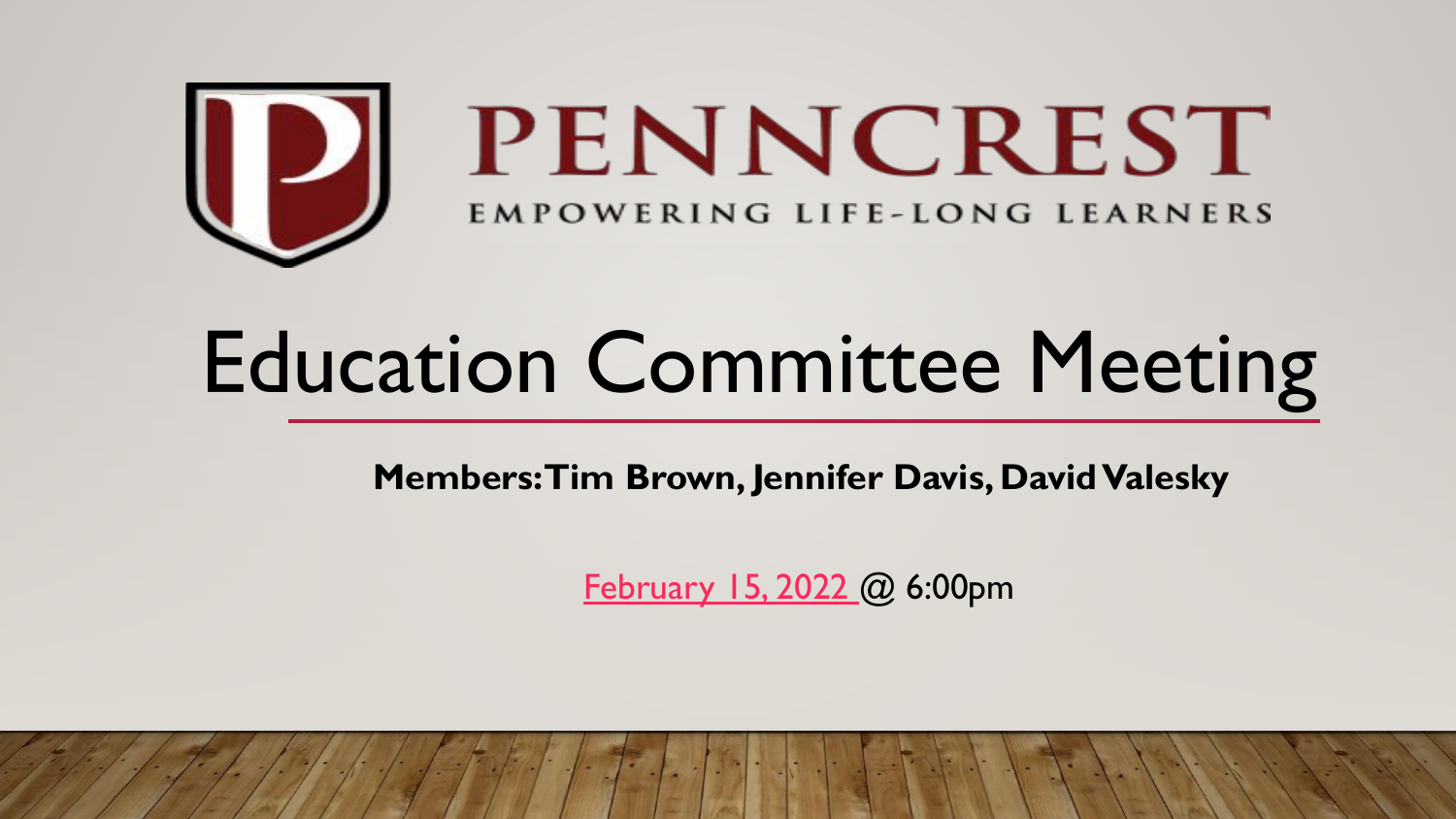

# Education Committee Meeting

**Members: Tim Brown, Jennifer Davis, David Valesky**

[February 15, 2022 @](https://docs.google.com/presentation/d/1fRWplo5NTbsXS93DRAlPJhnLsTaxuDp_/edit?usp=sharing&ouid=116559910937678655101&rtpof=true&sd=true) 6:00pm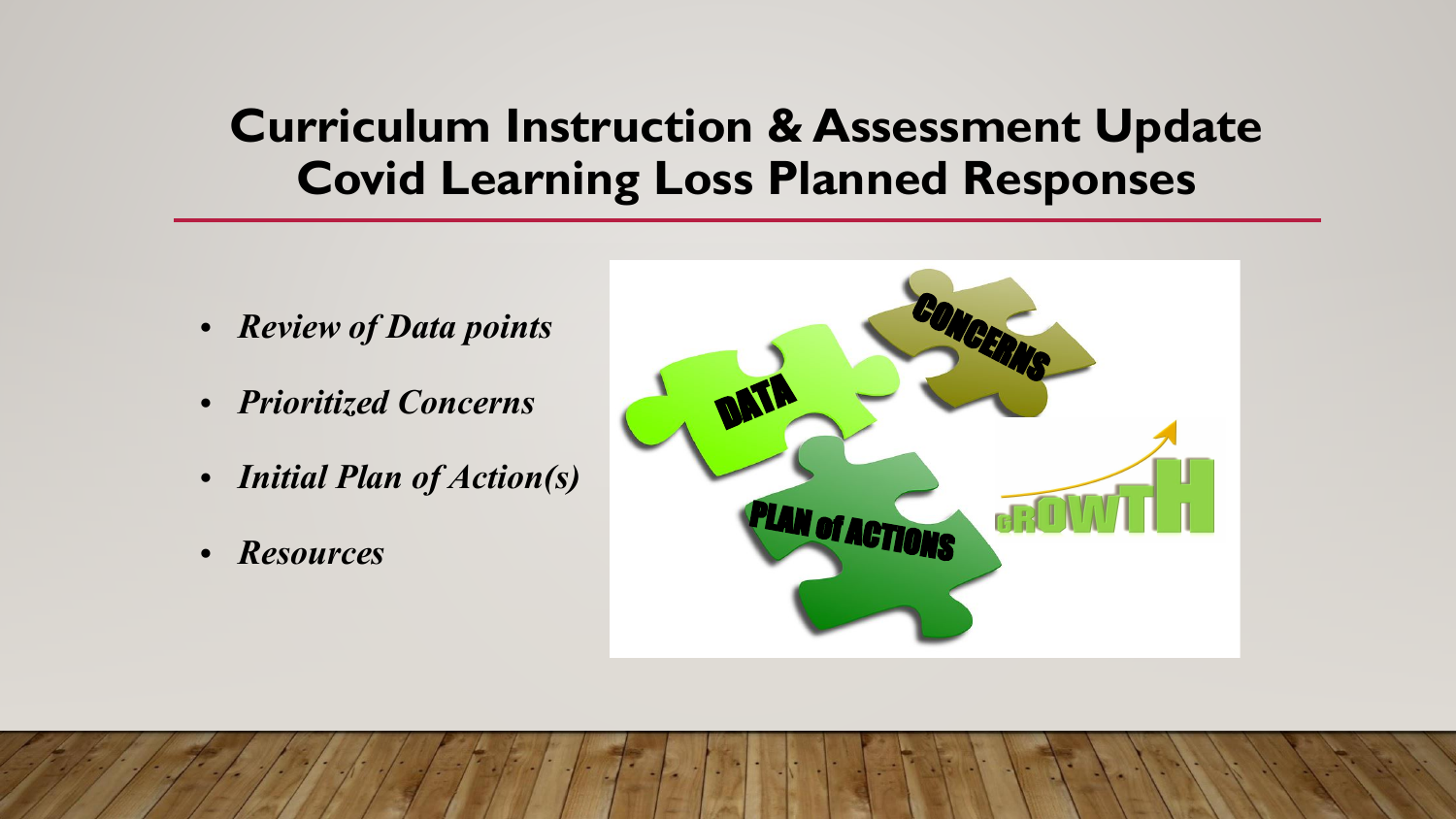## **Curriculum Instruction & Assessment Update Covid Learning Loss Planned Responses**

- *• Review of Data points*
- *• Prioritized Concerns*
- *• Initial Plan of Action(s)*
- *• Resources*

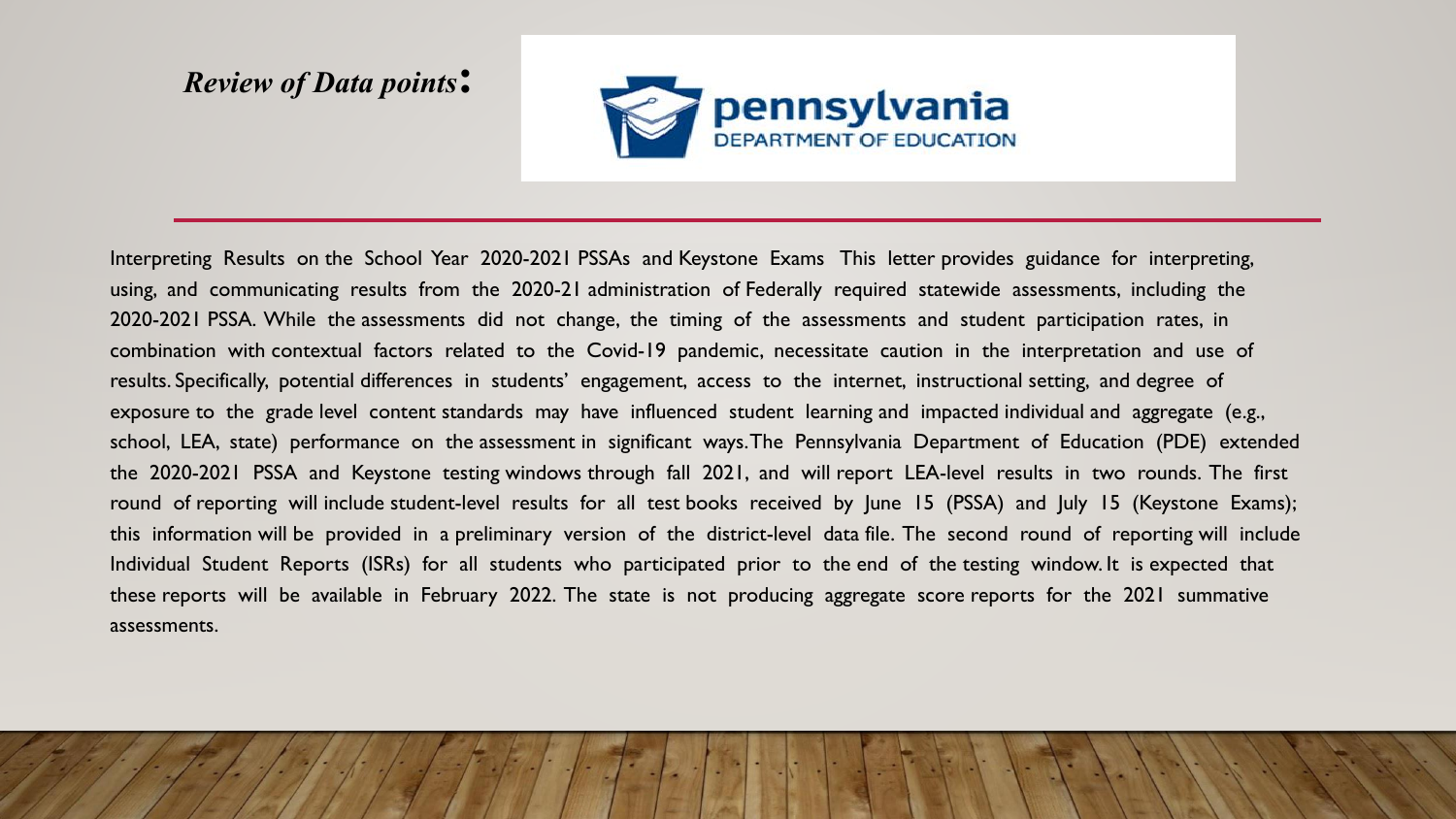#### *Review of Data points***:**



Interpreting Results on the School Year 2020-2021 PSSAs and Keystone Exams This letter provides guidance for interpreting, using, and communicating results from the 2020-21 administration of Federally required statewide assessments, including the 2020-2021 PSSA. While the assessments did not change, the timing of the assessments and student participation rates, in combination with contextual factors related to the Covid-19 pandemic, necessitate caution in the interpretation and use of results. Specifically, potential differences in students' engagement, access to the internet, instructional setting, and degree of exposure to the grade level content standards may have influenced student learning and impacted individual and aggregate (e.g., school, LEA, state) performance on the assessment in significant ways. The Pennsylvania Department of Education (PDE) extended the 2020-2021 PSSA and Keystone testing windows through fall 2021, and will report LEA-level results in two rounds. The first round of reporting will include student-level results for all test books received by June 15 (PSSA) and July 15 (Keystone Exams); this information will be provided in a preliminary version of the district-level data file. The second round of reporting will include Individual Student Reports (ISRs) for all students who participated prior to the end of the testing window. It is expected that these reports will be available in February 2022. The state is not producing aggregate score reports for the 2021 summative assessments.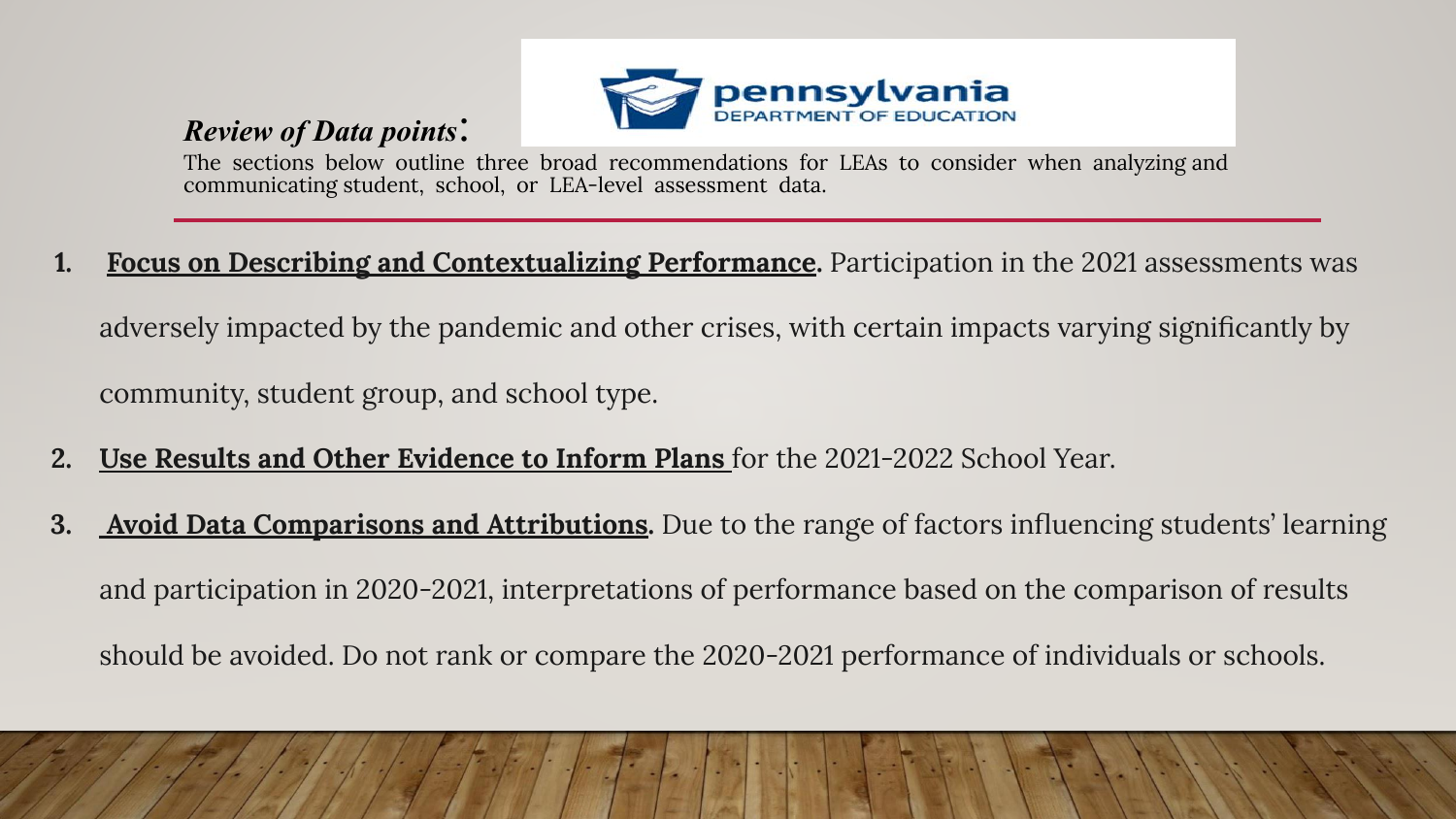#### *Review of Data points*:



The sections below outline three broad recommendations for LEAs to consider when analyzing and communicating student, school, or LEA-level assessment data.

**1. Focus on Describing and Contextualizing Performance.** Participation in the 2021 assessments was

adversely impacted by the pandemic and other crises, with certain impacts varying significantly by community, student group, and school type.

- **2. Use Results and Other Evidence to Inform Plans** for the 2021-2022 School Year.
- **3. Avoid Data Comparisons and Attributions.** Due to the range of factors influencing students' learning and participation in 2020-2021, interpretations of performance based on the comparison of results should be avoided. Do not rank or compare the 2020-2021 performance of individuals or schools.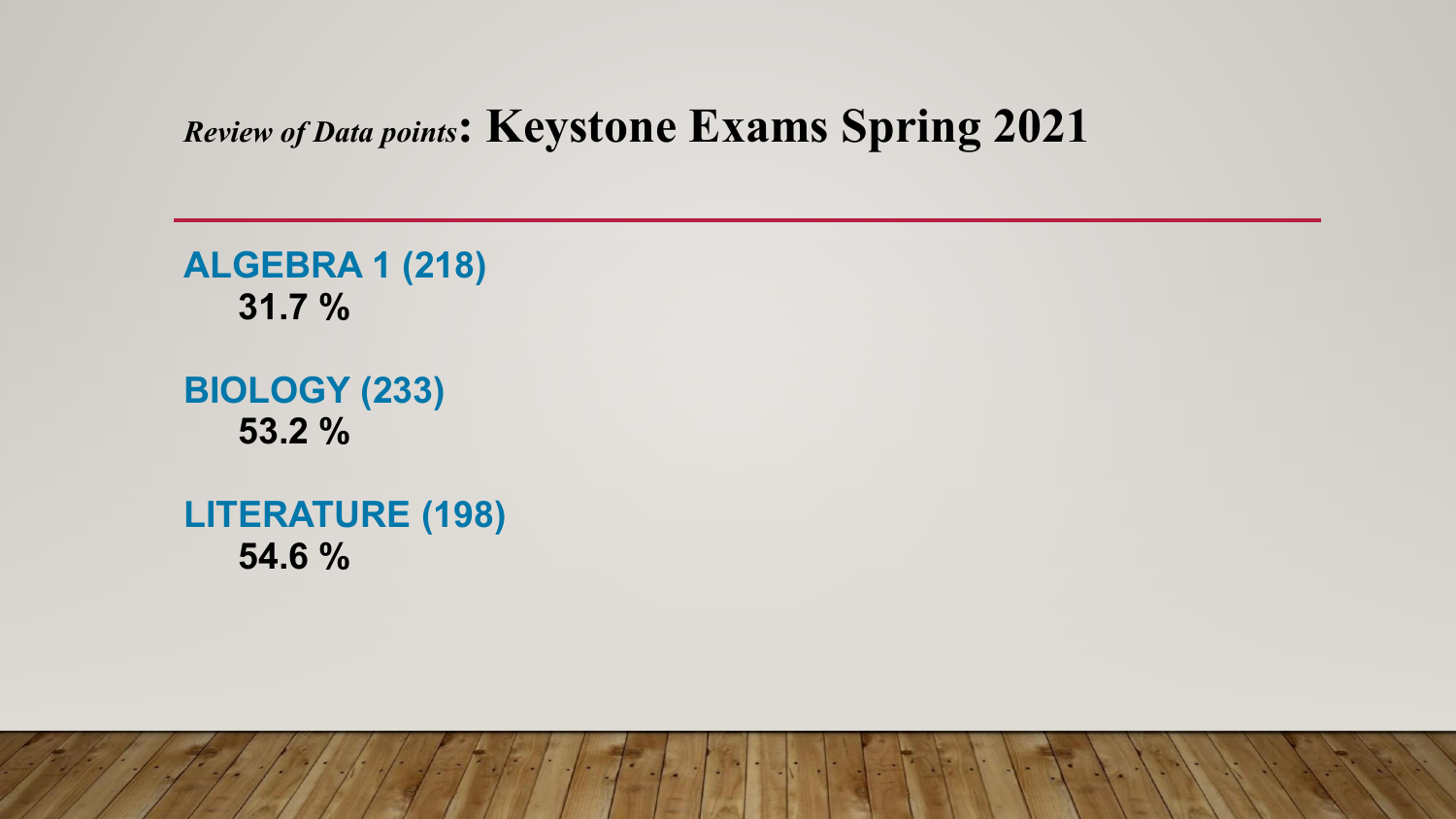#### *Review of Data points***: Keystone Exams Spring 2021**

**ALGEBRA 1 (218) 31.7 %**

**BIOLOGY (233) 53.2 %**

**LITERATURE (198) 54.6 %**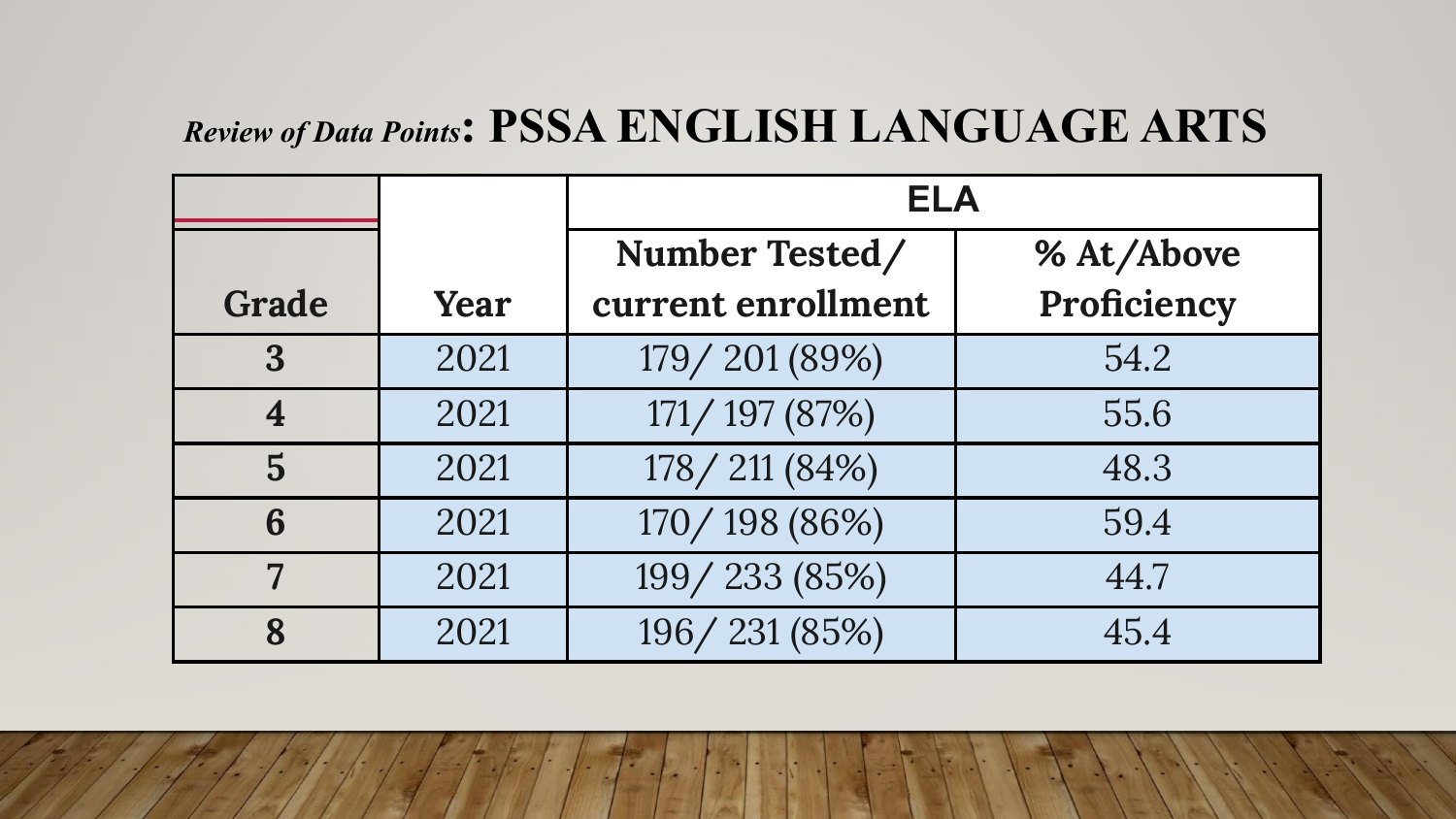# *Review of Data Points***: PSSA ENGLISH LANGUAGE ARTS**

|       |      | <b>ELA</b>         |             |  |  |  |
|-------|------|--------------------|-------------|--|--|--|
|       |      | Number Tested/     | % At/Above  |  |  |  |
| Grade | Year | current enrollment | Proficiency |  |  |  |
| 3     | 2021 | 179/201 (89%)      | 54.2        |  |  |  |
| 4     | 2021 | 171/197 (87%)      | 55.6        |  |  |  |
| 5     | 2021 | 178/211 (84%)      | 48.3        |  |  |  |
| 6     | 2021 | 170/198 (86%)      | 59.4        |  |  |  |
| 7     | 2021 | 199/233 (85%)      | 44.7        |  |  |  |
| 8     | 2021 | 196/231 (85%)      | 45.4        |  |  |  |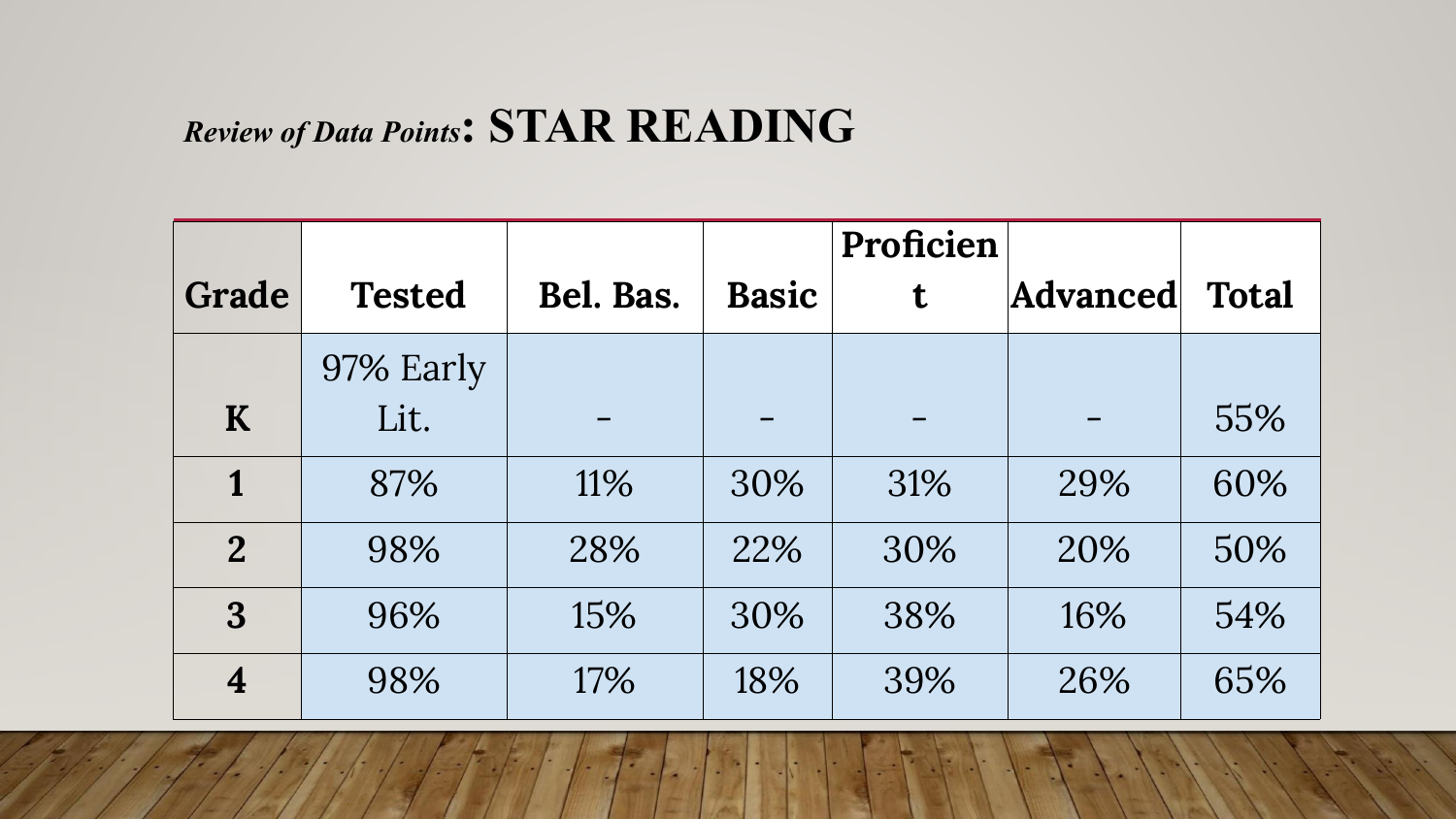#### *Review of Data Points***: STAR READING**

|                |               |           |              | Proficien |                 |              |
|----------------|---------------|-----------|--------------|-----------|-----------------|--------------|
| Grade          | <b>Tested</b> | Bel. Bas. | <b>Basic</b> | t         | <b>Advanced</b> | <b>Total</b> |
|                | 97% Early     |           |              |           |                 |              |
| K              | Lit.          |           |              |           |                 | 55%          |
| 1              | 87%           | 11%       | 30%          | 31%       | 29%             | 60%          |
| $\overline{2}$ | 98%           | 28%       | 22%          | 30%       | 20%             | 50%          |
| 3              | 96%           | 15%       | 30%          | 38%       | 16%             | 54%          |
| 4              | 98%           | 17%       | 18%          | 39%       | 26%             | 65%          |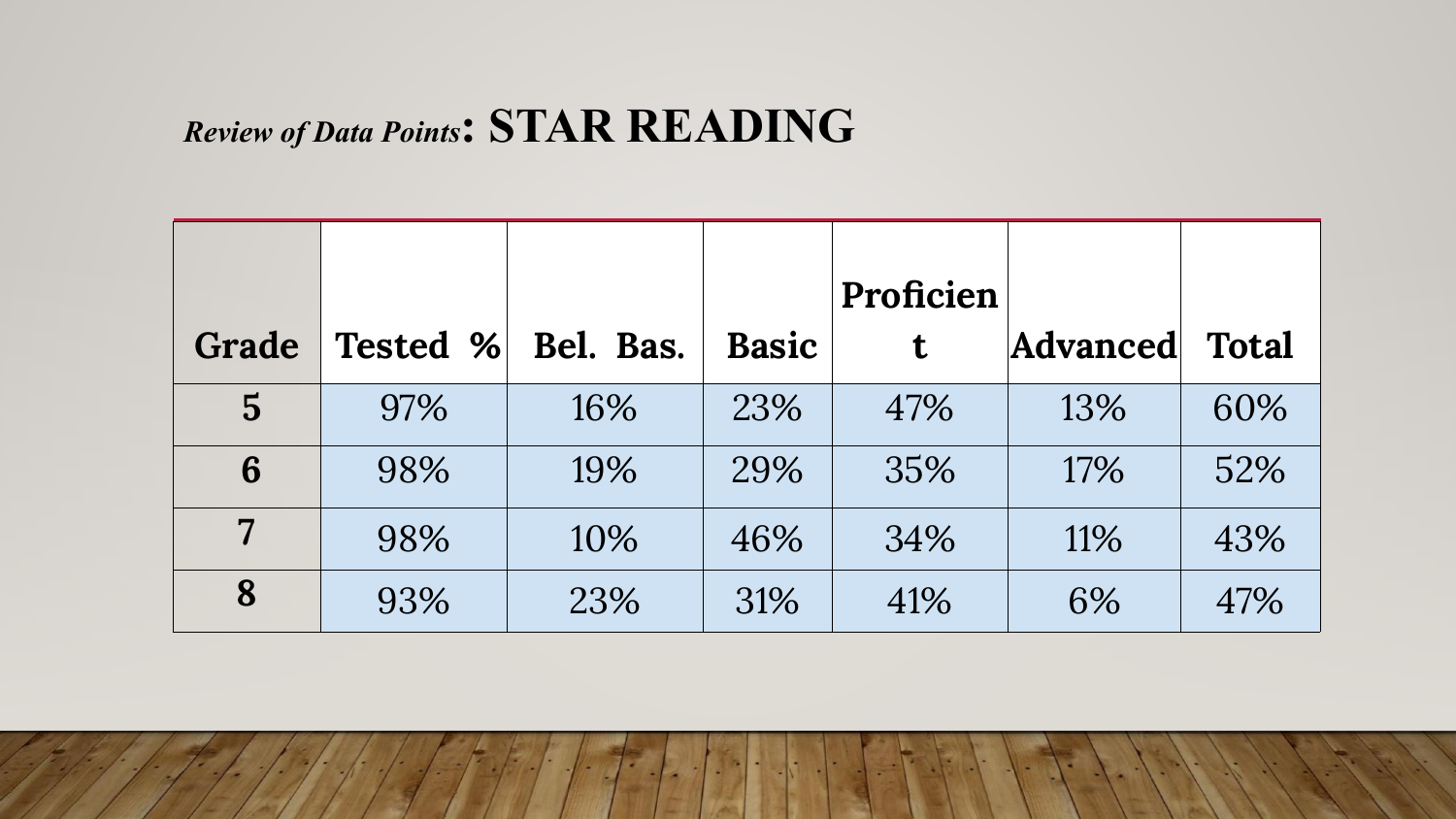#### *Review of Data Points***: STAR READING**

| Grade          | <b>Tested %</b> | Bel. Bas. | <b>Basic</b> | Proficien<br>t | <b>Advanced</b> | <b>Total</b> |
|----------------|-----------------|-----------|--------------|----------------|-----------------|--------------|
| $\overline{5}$ | 97%             | 16%       | 23%          | 47%            | 13%             | 60%          |
| 6              | 98%             | 19%       | 29%          | 35%            | 17%             | 52%          |
| 7              | 98%             | 10%       | 46%          | 34%            | 11%             | 43%          |
| 8              | 93%             | 23%       | 31%          | 41%            | 6%              | 47%          |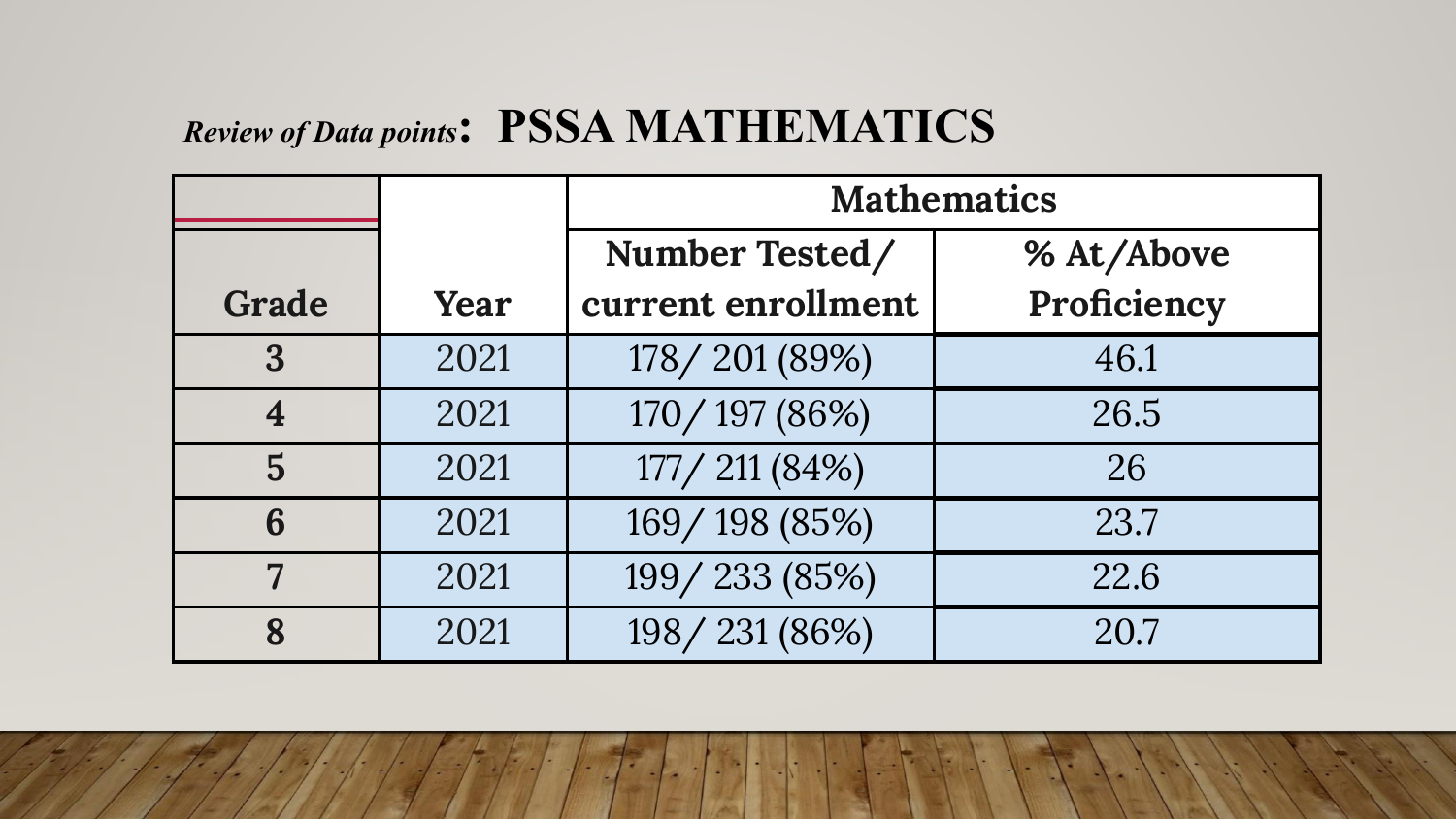#### *Review of Data points***: PSSA MATHEMATICS**

|       |      | <b>Mathematics</b> |             |  |  |  |
|-------|------|--------------------|-------------|--|--|--|
|       |      | Number Tested/     | % At/Above  |  |  |  |
| Grade | Year | current enrollment | Proficiency |  |  |  |
| 3     | 2021 | 178/201 (89%)      | 46.1        |  |  |  |
| 4     | 2021 | 170/197 (86%)      | 26.5        |  |  |  |
| 5     | 2021 | 177/211 (84%)      | 26          |  |  |  |
| 6     | 2021 | 169/198 (85%)      | 23.7        |  |  |  |
| 7     | 2021 | 199/233 (85%)      | 22.6        |  |  |  |
| 8     | 2021 | 198/231 (86%)      | 20.7        |  |  |  |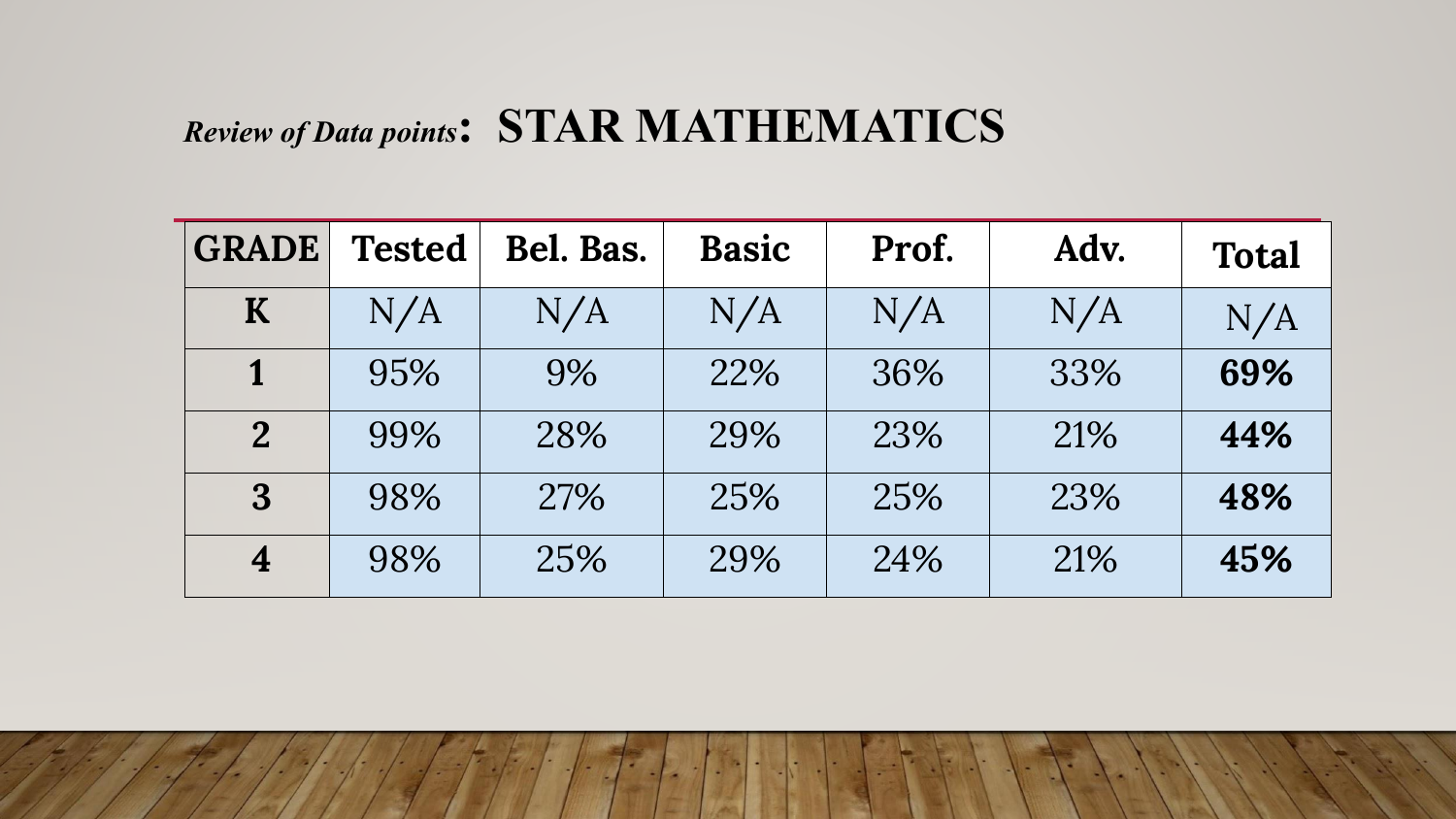# *Review of Data points***: STAR MATHEMATICS**

| <b>GRADE</b>    | <b>Tested</b> | Bel. Bas. | <b>Basic</b> | Prof. | Adv. | <b>Total</b> |
|-----------------|---------------|-----------|--------------|-------|------|--------------|
| K               | N/A           | N/A       | N/A          | N/A   | N/A  | N/A          |
| 1               | 95%           | 9%        | 22%          | 36%   | 33%  | 69%          |
| $\overline{2}$  | 99%           | 28%       | 29%          | 23%   | 21%  | 44%          |
| $3\overline{3}$ | 98%           | 27%       | 25%          | 25%   | 23%  | 48%          |
| $\overline{4}$  | 98%           | 25%       | 29%          | 24%   | 21%  | 45%          |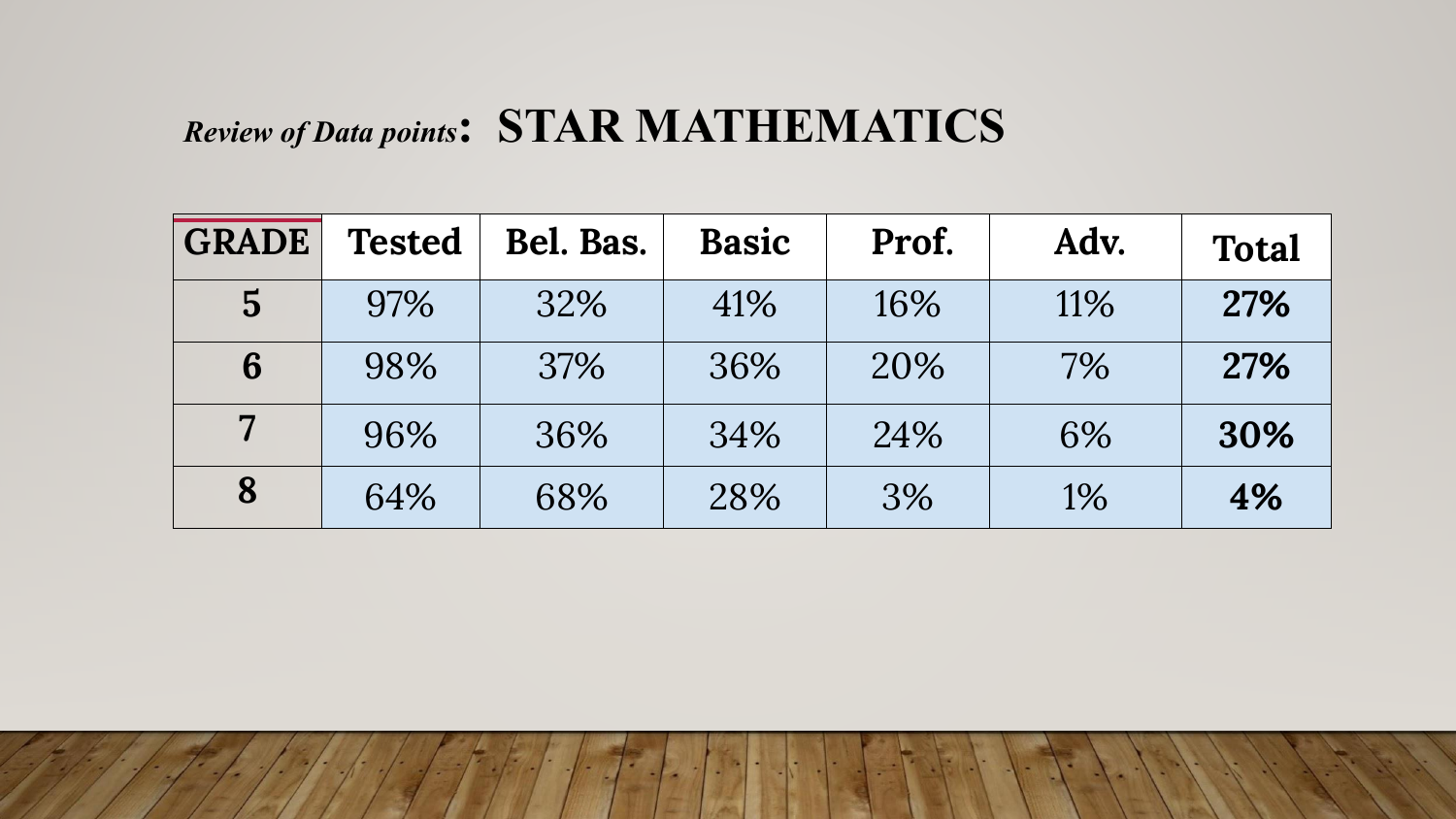# *Review of Data points***: STAR MATHEMATICS**

| <b>GRADE</b>   | <b>Tested</b> | Bel. Bas. | <b>Basic</b> | Prof. | Adv. | <b>Total</b> |
|----------------|---------------|-----------|--------------|-------|------|--------------|
| $\overline{5}$ | 97%           | 32%       | 41%          | 16%   | 11%  | 27%          |
| 6              | 98%           | 37%       | 36%          | 20%   | 7%   | 27%          |
| $\overline{7}$ | 96%           | 36%       | 34%          | 24%   | 6%   | 30%          |
| 8              | 64%           | 68%       | 28%          | 3%    | 1%   | 4%           |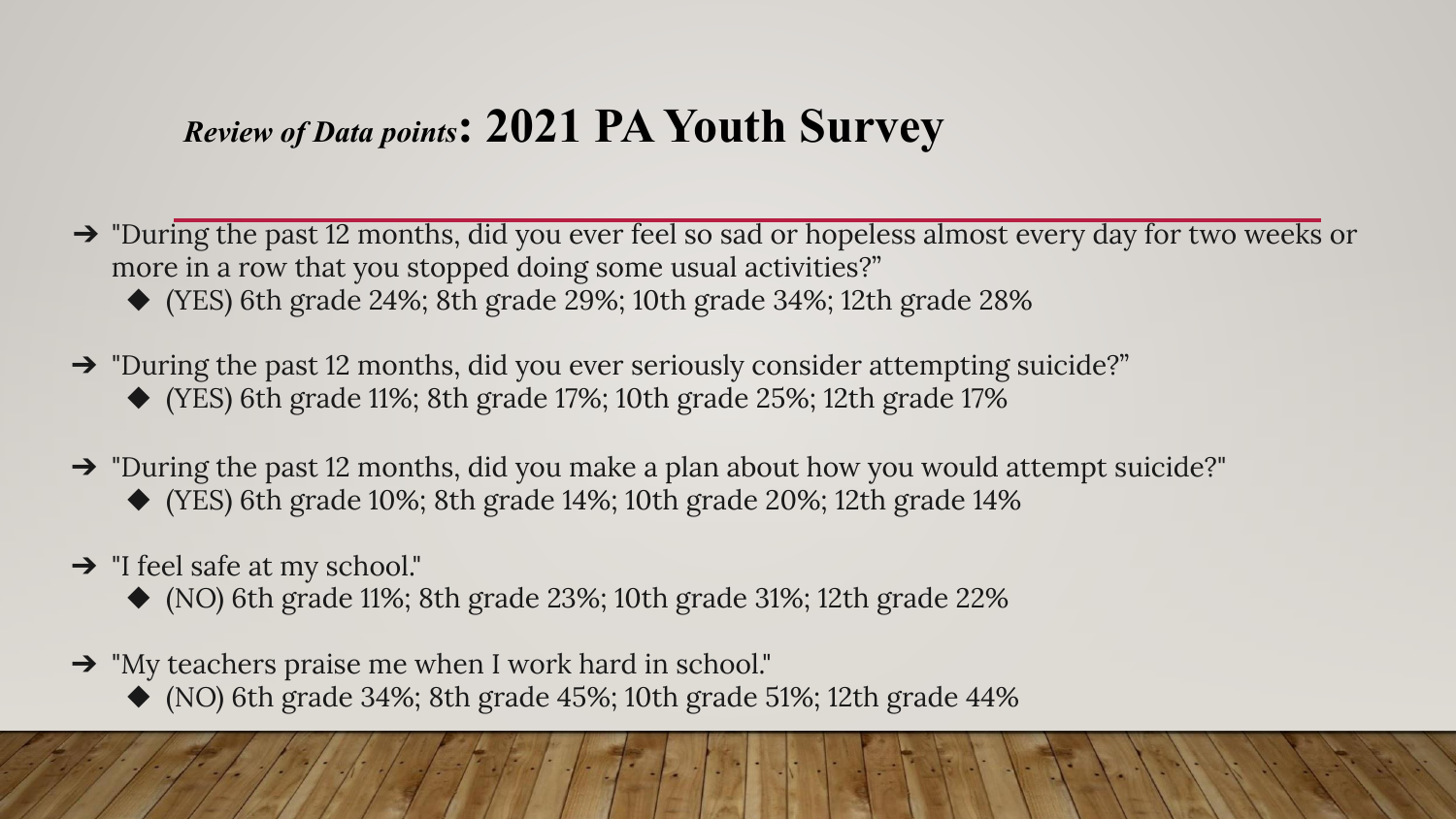#### *Review of Data points***: 2021 PA Youth Survey**

- ➔ "During the past 12 months, did you ever feel so sad or hopeless almost every day for two weeks or more in a row that you stopped doing some usual activities?"
	- ◆ (YES) 6th grade 24%; 8th grade 29%; 10th grade 34%; 12th grade 28%
- ➔ "During the past 12 months, did you ever seriously consider attempting suicide?" ◆ (YES) 6th grade 11%; 8th grade 17%; 10th grade 25%; 12th grade 17%
- $\rightarrow$  "During the past 12 months, did you make a plan about how you would attempt suicide?"
	- ◆ (YES) 6th grade 10%; 8th grade 14%; 10th grade 20%; 12th grade 14%
- $\rightarrow$  "I feel safe at my school."
	- $\blacklozenge$  (NO) 6th grade 11%; 8th grade 23%; 10th grade 31%; 12th grade 22%
- ➔ "My teachers praise me when I work hard in school."
	- $\blacklozenge$  (NO) 6th grade 34%; 8th grade 45%; 10th grade 51%; 12th grade 44%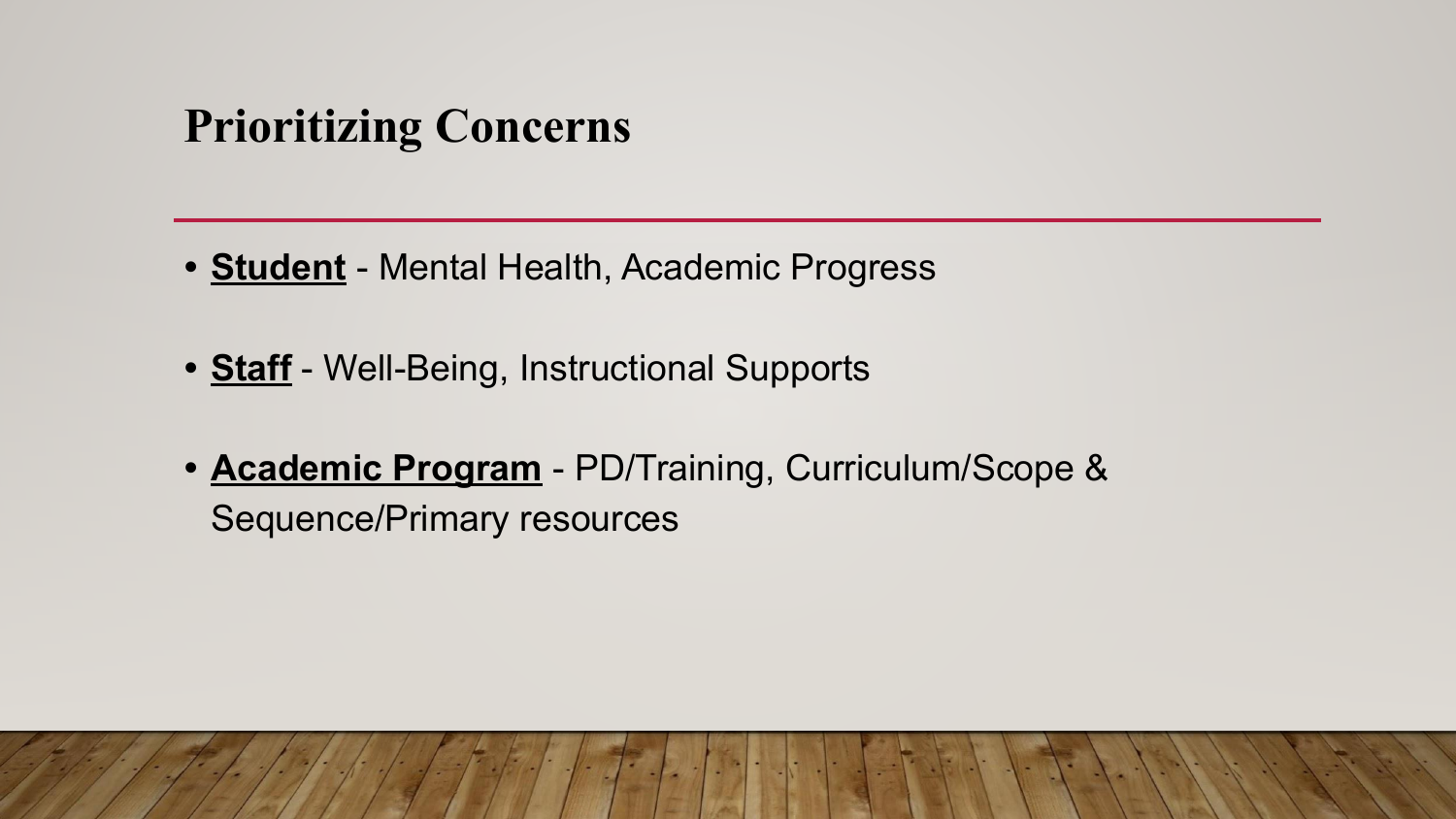# **Prioritizing Concerns**

- **• Student** Mental Health, Academic Progress
- **• Staff** Well-Being, Instructional Supports
- **• Academic Program** PD/Training, Curriculum/Scope & Sequence/Primary resources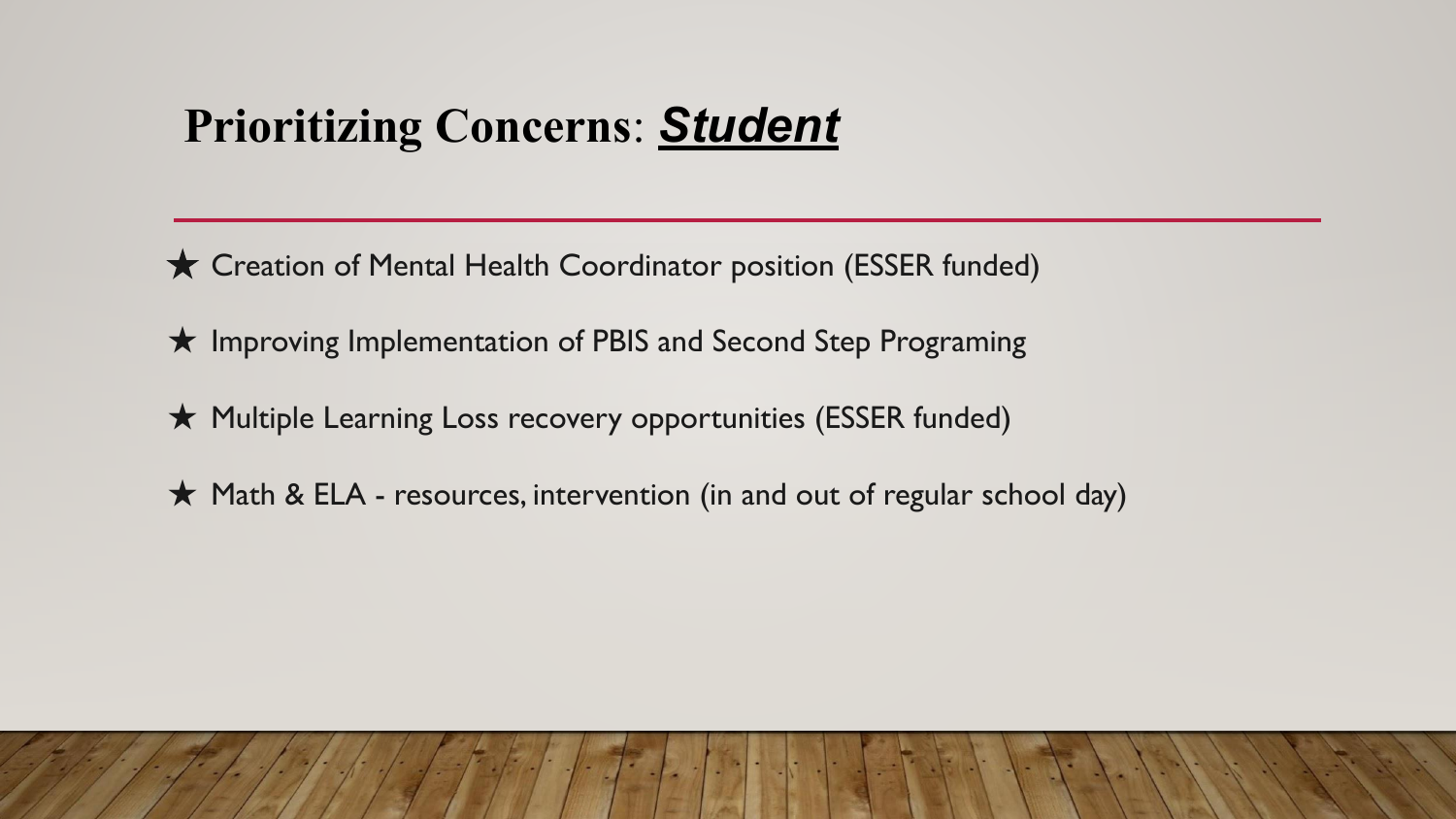# **Prioritizing Concerns**: *Student*

**★ Creation of Mental Health Coordinator position (ESSER funded)** 

★ Improving Implementation of PBIS and Second Step Programing

★ Multiple Learning Loss recovery opportunities (ESSER funded)

★ Math & ELA - resources, intervention (in and out of regular school day)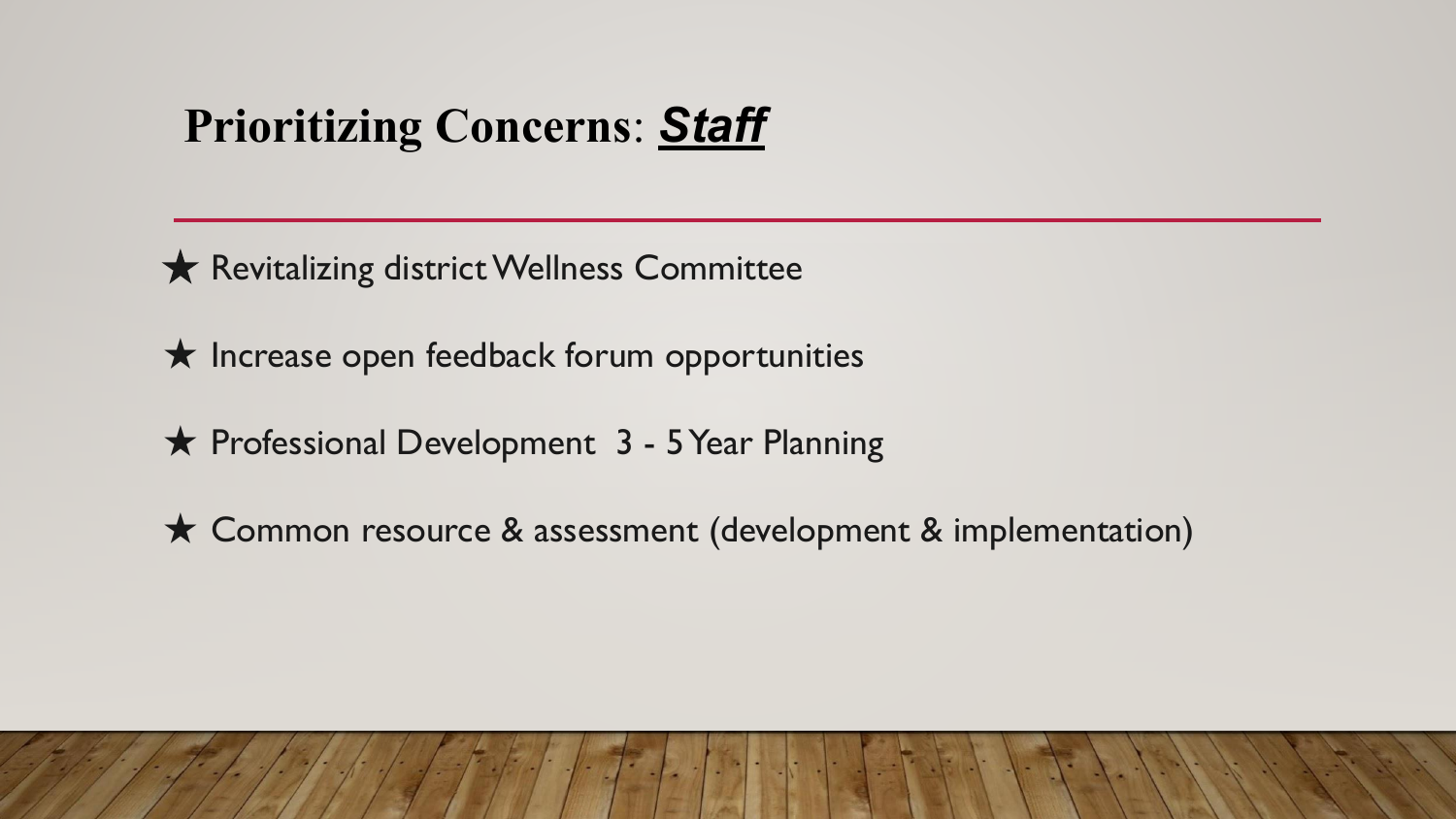# **Prioritizing Concerns**: *Staff*

★ Revitalizing district Wellness Committee

 $\star$  Increase open feedback forum opportunities

★ Professional Development 3 - 5 Year Planning

★ Common resource & assessment (development & implementation)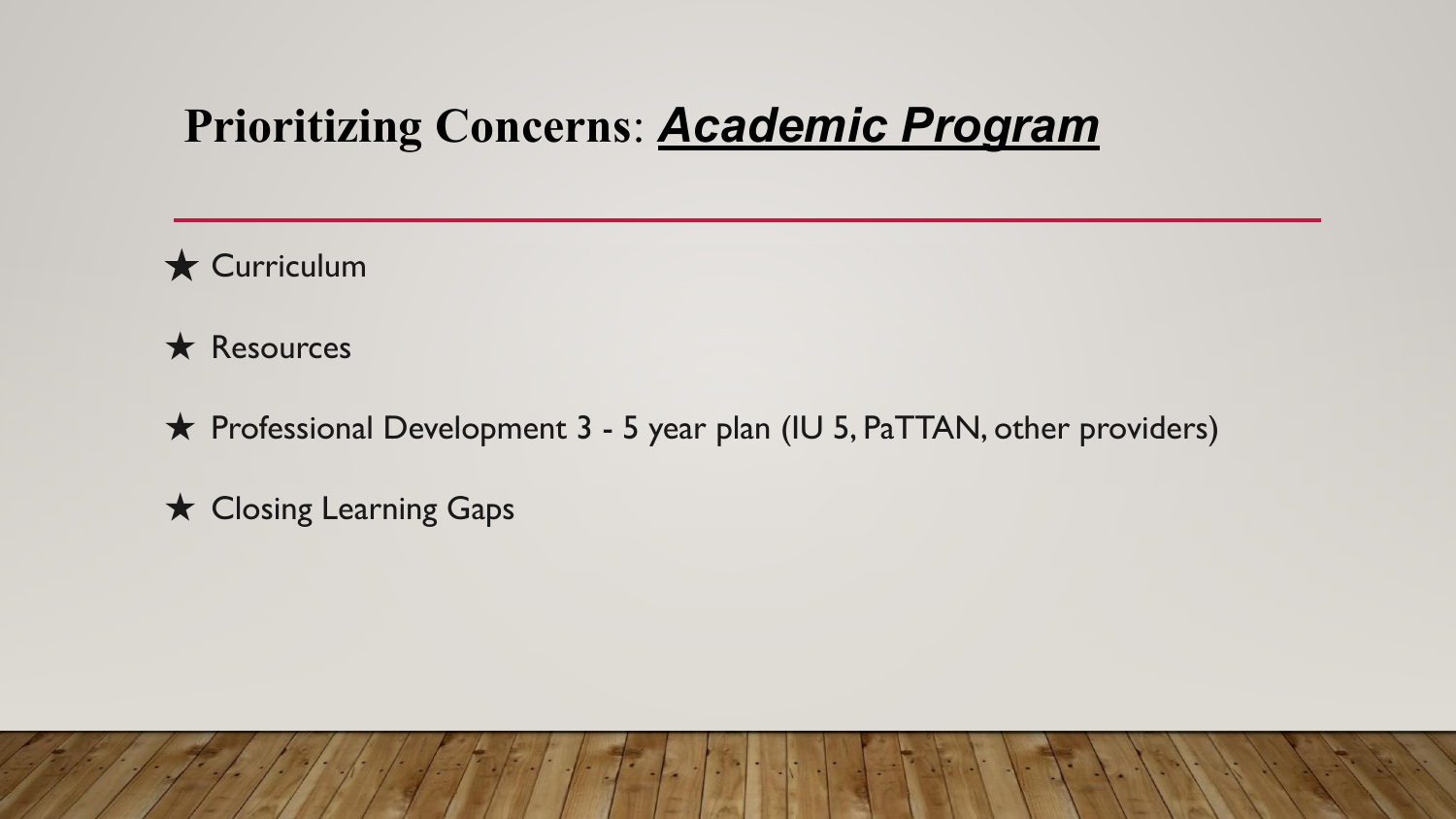# **Prioritizing Concerns**: *Academic Program*

★ Curriculum

★ Resources

★ Professional Development 3 - 5 year plan (IU 5, PaTTAN, other providers)

★ Closing Learning Gaps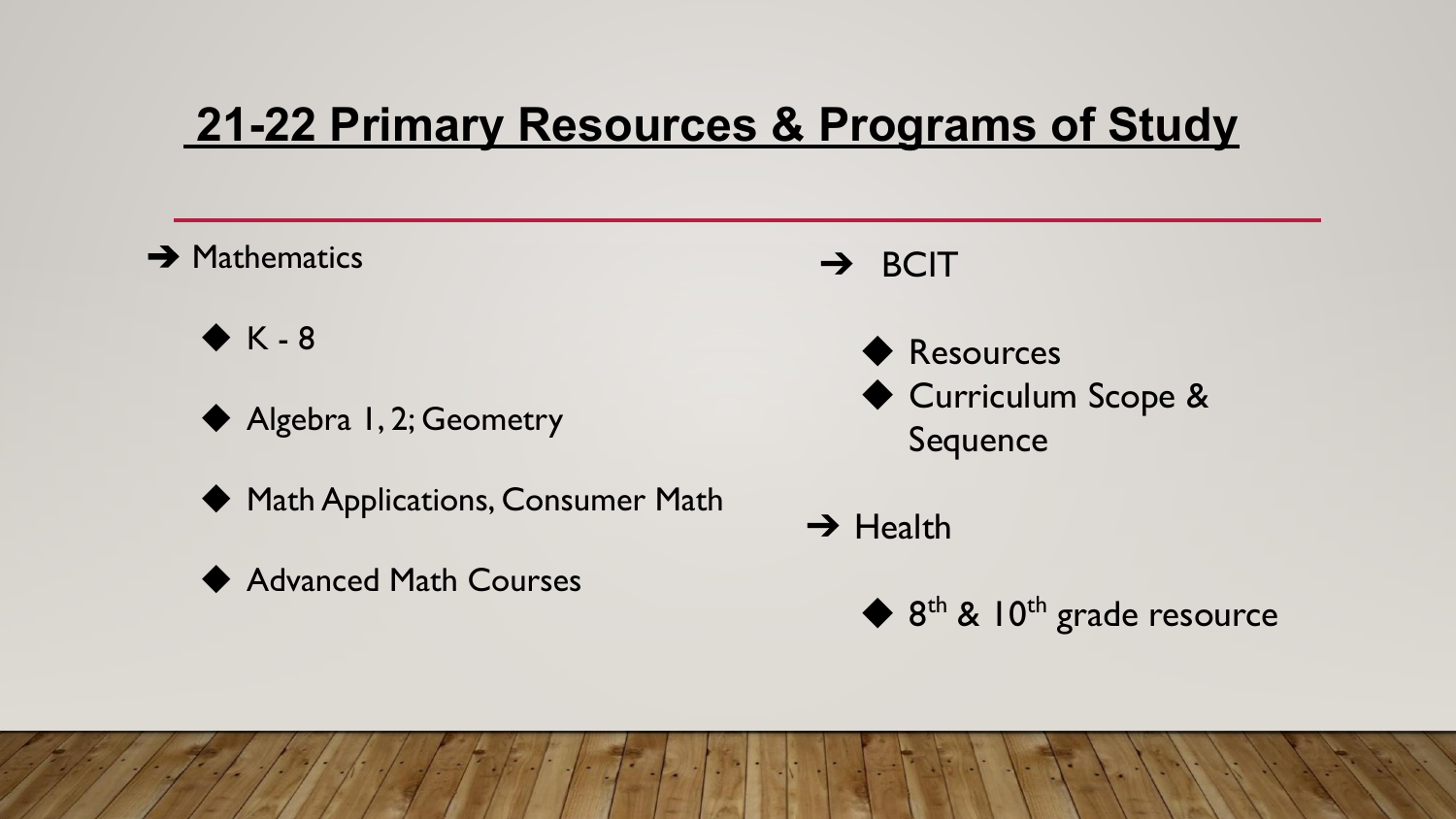# **21-22 Primary Resources & Programs of Study**

#### **→ Mathematics**

 $\blacklozenge$  K - 8

- ◆ Algebra 1, 2; Geometry
- ◆ Math Applications, Consumer Math
- **Advanced Math Courses**
- ➔ BCIT
	- ◆ Resources ◆ Curriculum Scope & Sequence

 $\rightarrow$  Health

 $\blacklozenge$  8<sup>th</sup> & 10<sup>th</sup> grade resource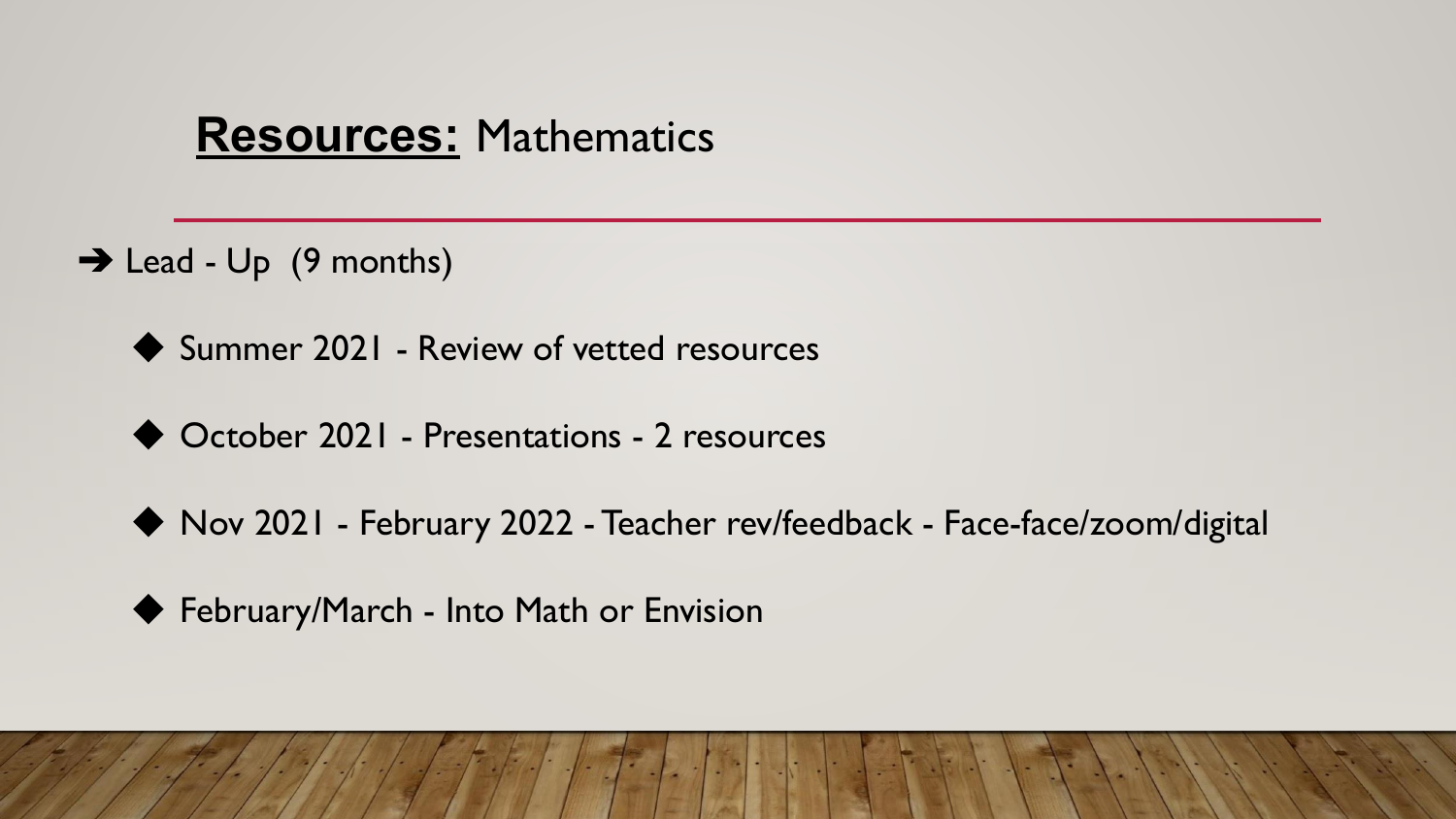#### **Resources:** Mathematics

- $\rightarrow$  Lead Up (9 months)
	- ◆ Summer 2021 Review of vetted resources
	- ◆ October 2021 Presentations 2 resources
	- ◆ Nov 2021 February 2022 Teacher rev/feedback Face-face/zoom/digital
	- ◆ February/March Into Math or Envision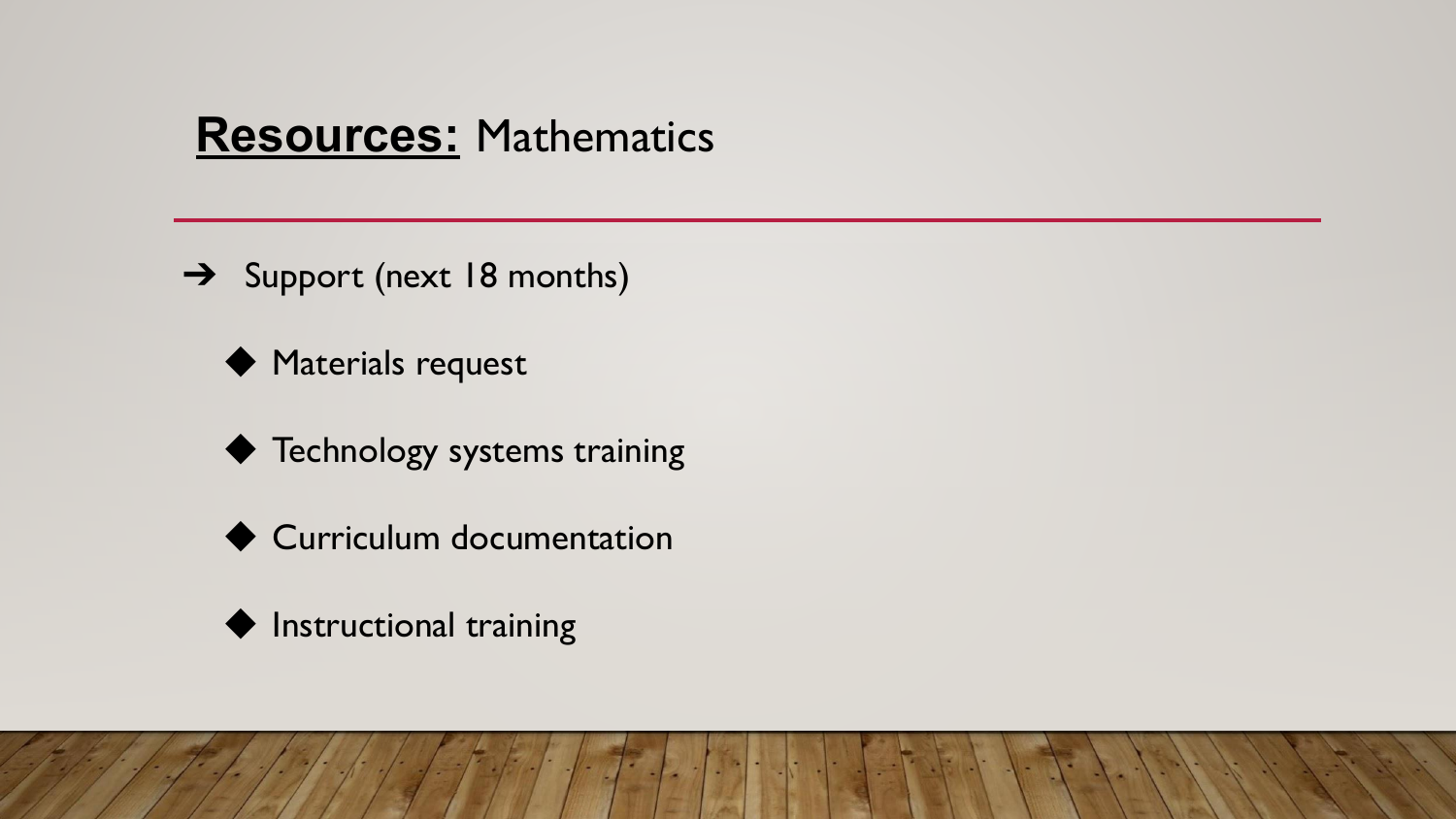#### **Resources:** Mathematics

- → Support (next 18 months)
	- ◆ Materials request
	- ◆ Technology systems training
	- ◆ Curriculum documentation

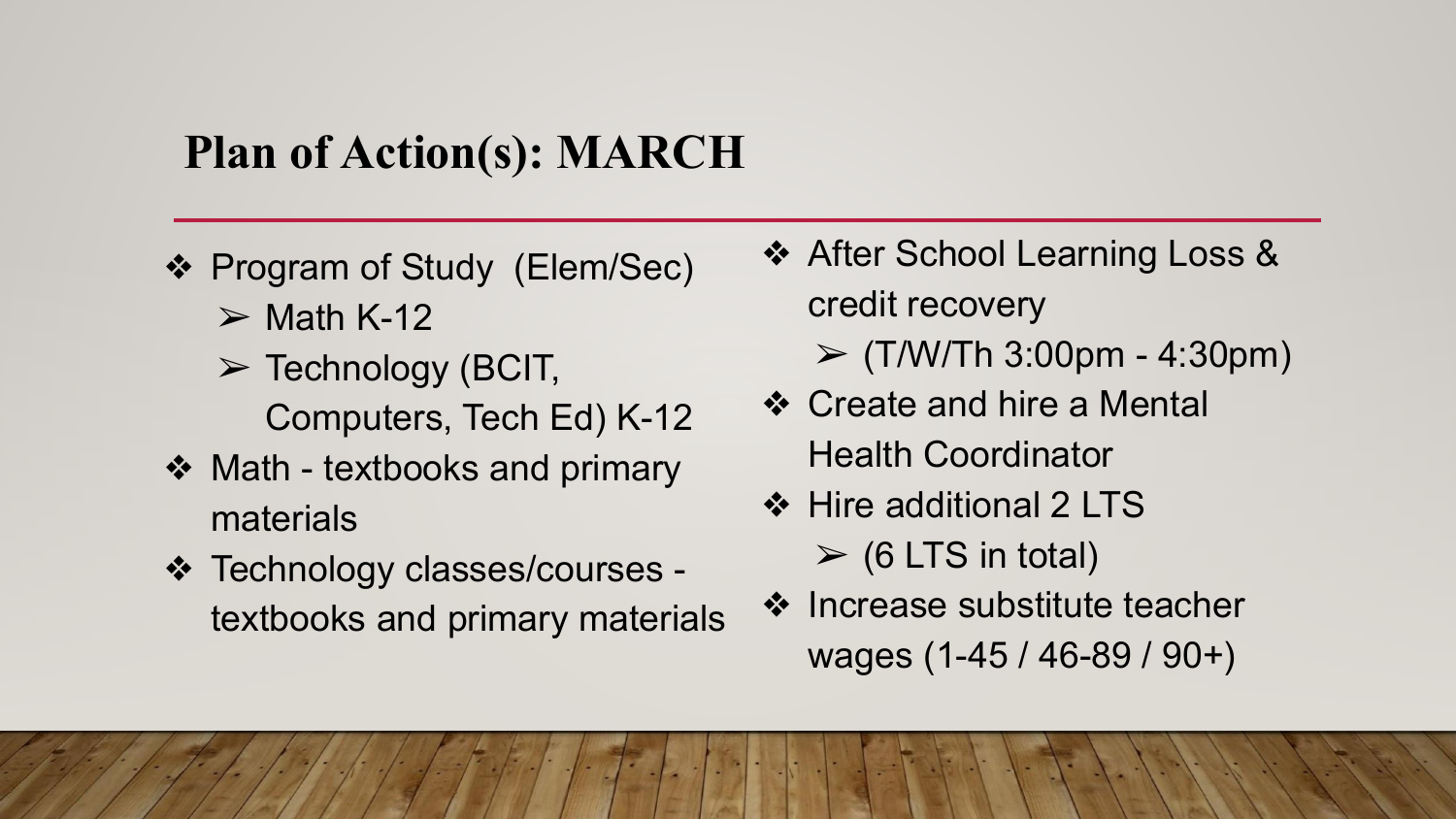# **Plan of Action(s): MARCH**

- ❖ Program of Study (Elem/Sec)
	- $\triangleright$  Math K-12

C,

- $\triangleright$  Technology (BCIT, Computers, Tech Ed) K-12
- ❖ Math textbooks and primary materials
- ❖ Technology classes/courses textbooks and primary materials
- ❖ After School Learning Loss & credit recovery  $\triangleright$  (T/W/Th 3:00pm - 4:30pm)
- ❖ Create and hire a Mental Health Coordinator
- ❖ Hire additional 2 LTS  $\triangleright$  (6 LTS in total)
- ❖ Increase substitute teacher wages (1-45 / 46-89 / 90+)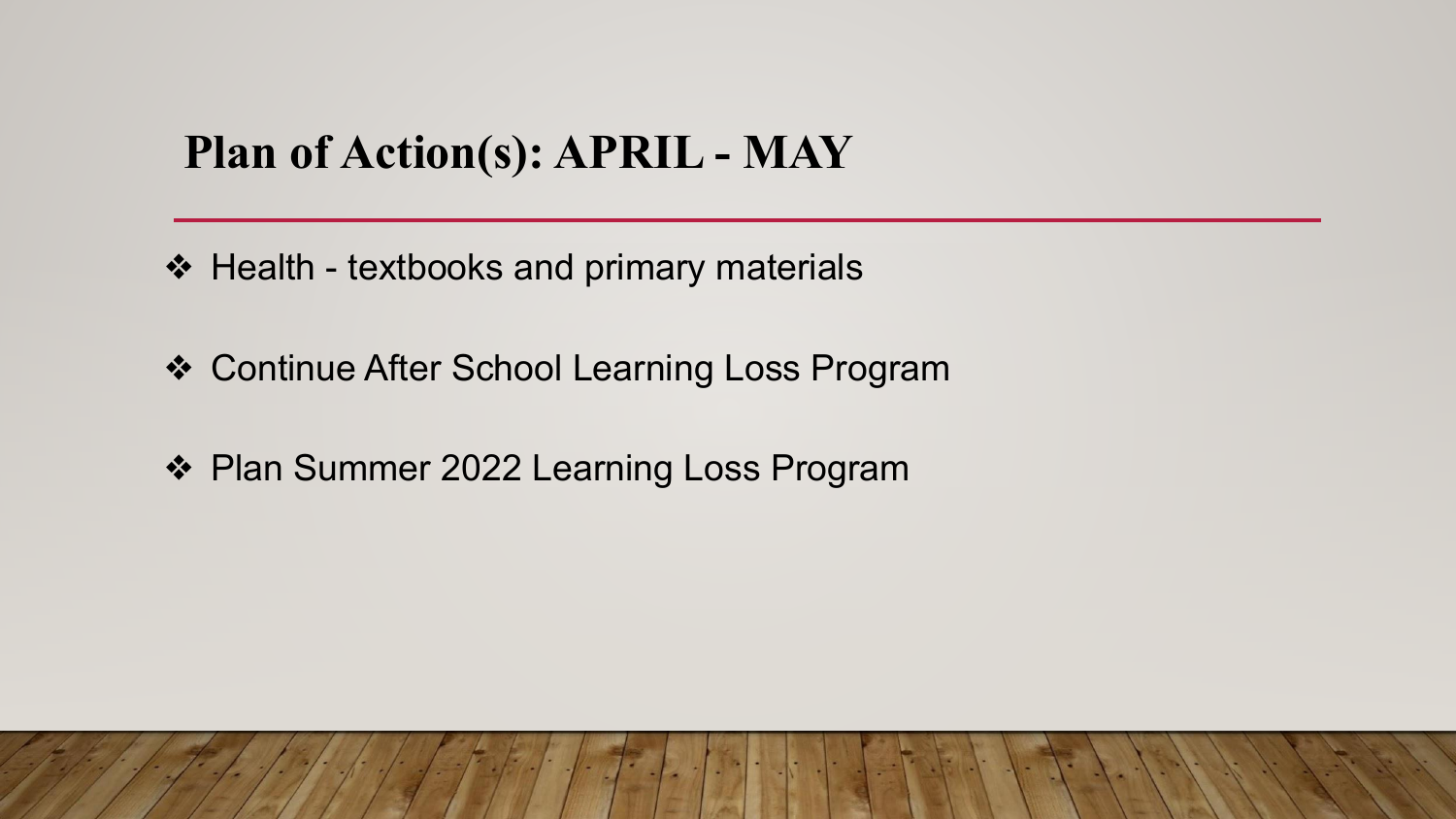# **Plan of Action(s): APRIL - MAY**

- ❖ Health textbooks and primary materials
- ❖ Continue After School Learning Loss Program
- ❖ Plan Summer 2022 Learning Loss Program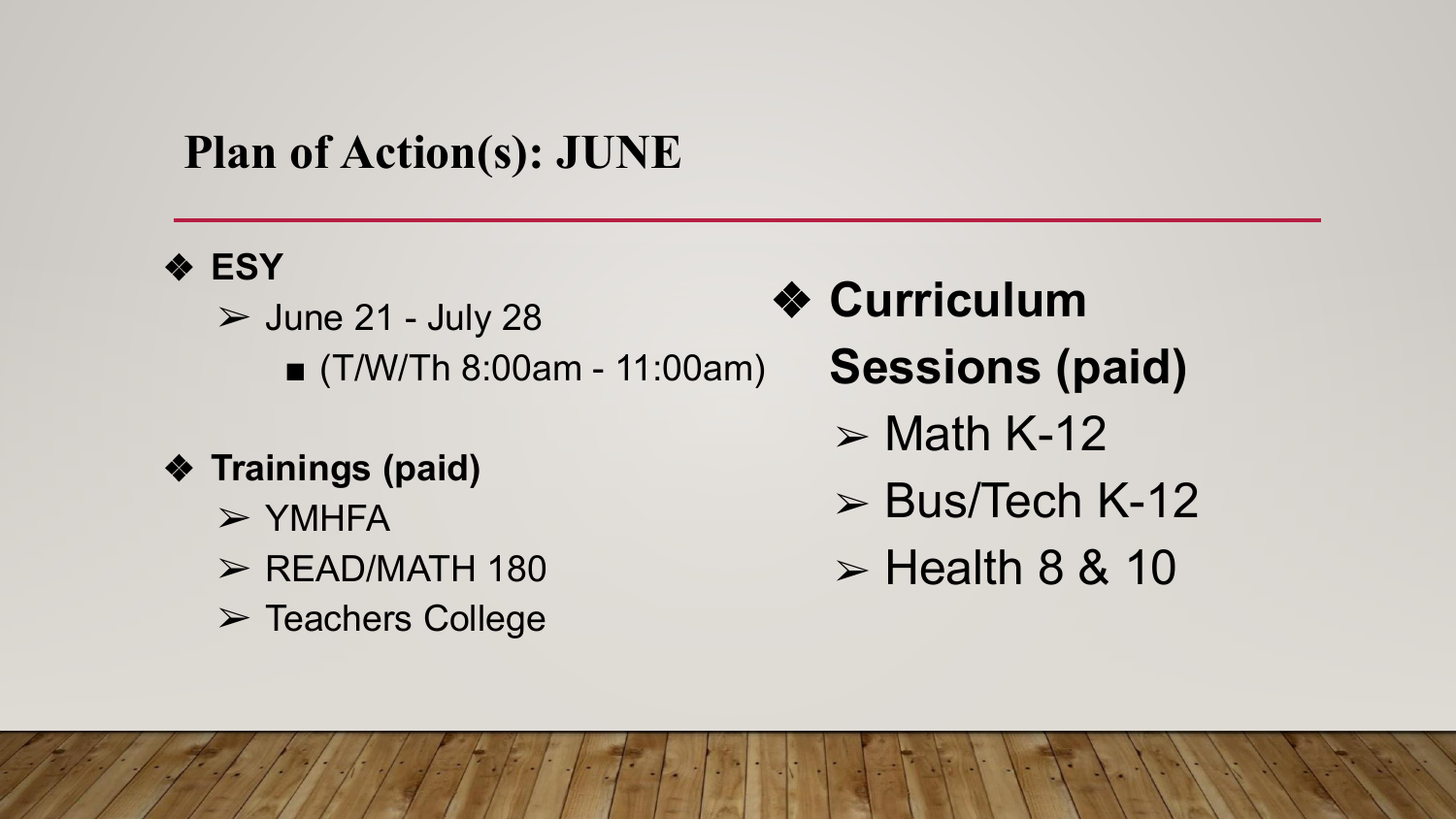# **Plan of Action(s): JUNE**

#### ❖ **ESY**

i<br>J

 $\geq$  June 21 - July 28 ■ (T/W/Th 8:00am - 11:00am)

#### ❖ **Trainings (paid)**

- $>$  YMHFA
- $\triangleright$  READ/MATH 180
- ➢ Teachers College
- ❖ **Curriculum** 
	- **Sessions (paid)**
		- $>$  Math K-12
		- $\triangleright$  Bus/Tech K-12
		- $\triangleright$  Health 8 & 10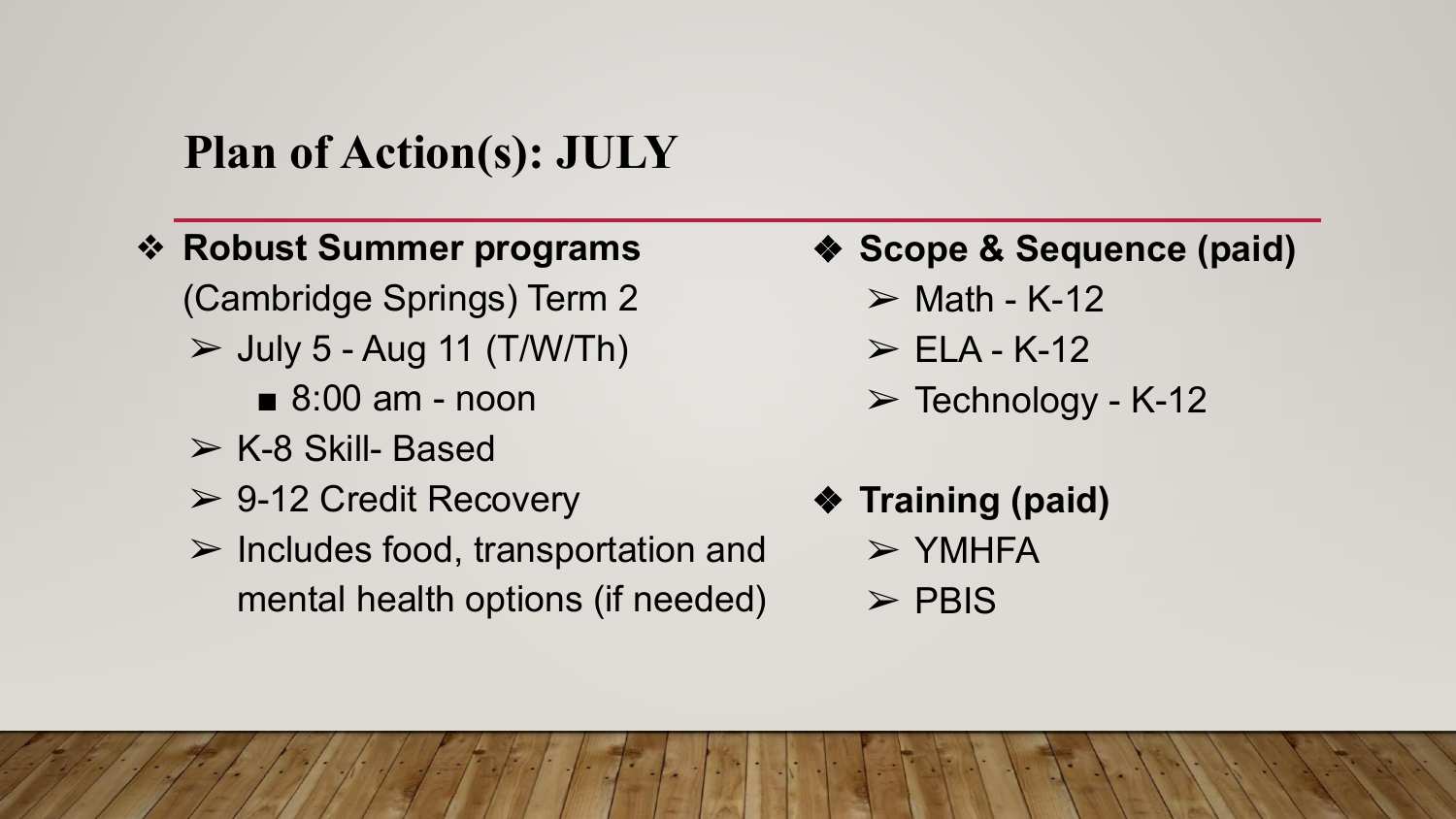#### **Plan of Action(s): JULY**

- ❖ **Robust Summer programs** (Cambridge Springs) Term 2
	- $\triangleright$  July 5 Aug 11 (T/W/Th)
		- 8:00 am noon
	- $\triangleright$  K-8 Skill- Based

 $\overline{1}$ 

- $\ge$  9-12 Credit Recovery
- $\triangleright$  Includes food, transportation and mental health options (if needed)
- ❖ **Scope & Sequence (paid)**
	- $\triangleright$  Math K-12
	- $\triangleright$  ELA K-12
	- $\triangleright$  Technology K-12
- ❖ **Training (paid)**
	- $>$  YMHFA
	- $\triangleright$  PBIS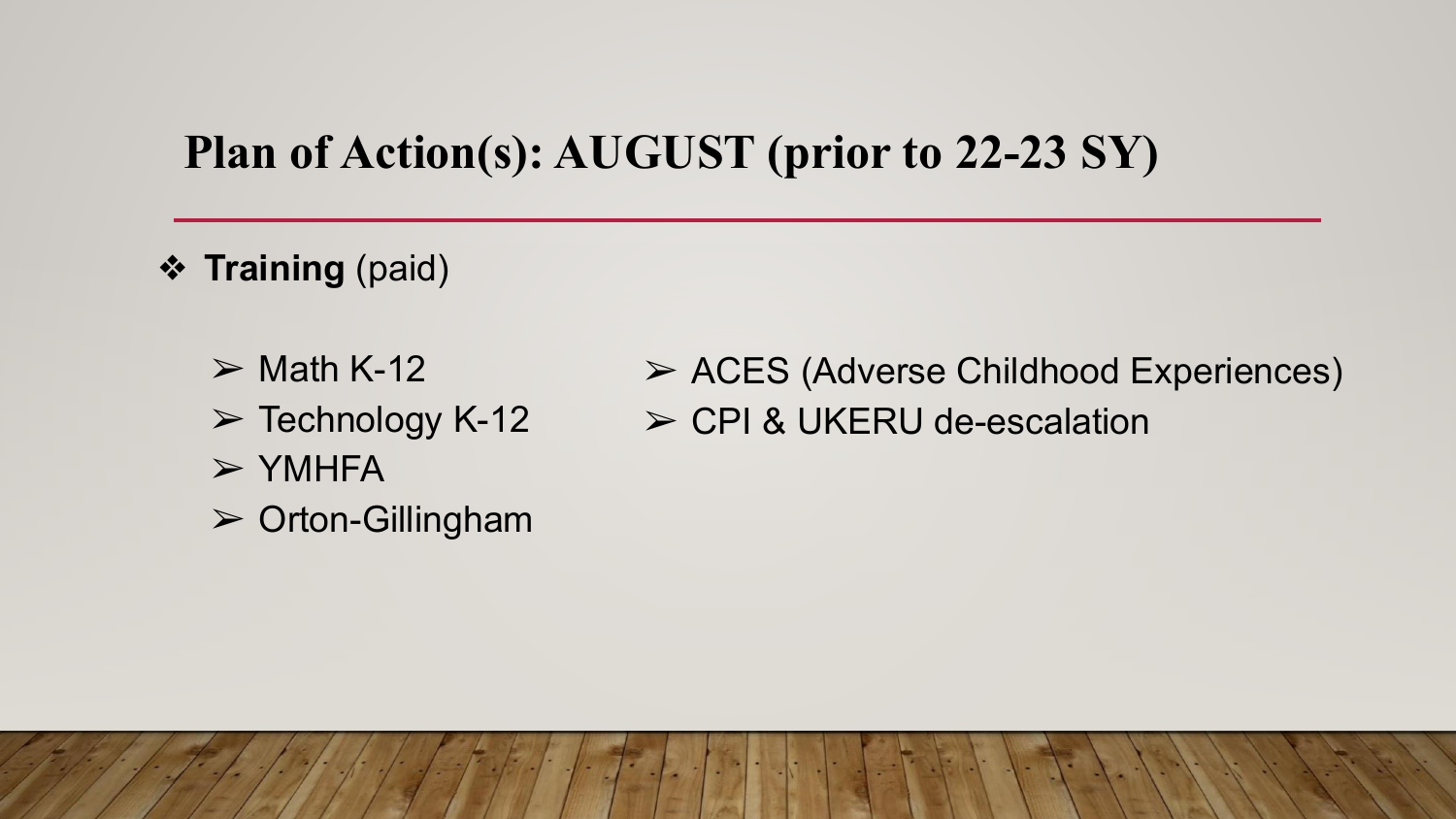#### **Plan of Action(s): AUGUST (prior to 22-23 SY)**

- ❖ **Training** (paid)
	- $\triangleright$  Math K-12  $\triangleright$  Technology K-12
	- $>$  YMHFA
	- $\triangleright$  Orton-Gillingham

➢ ACES (Adverse Childhood Experiences) ➢ CPI & UKERU de-escalation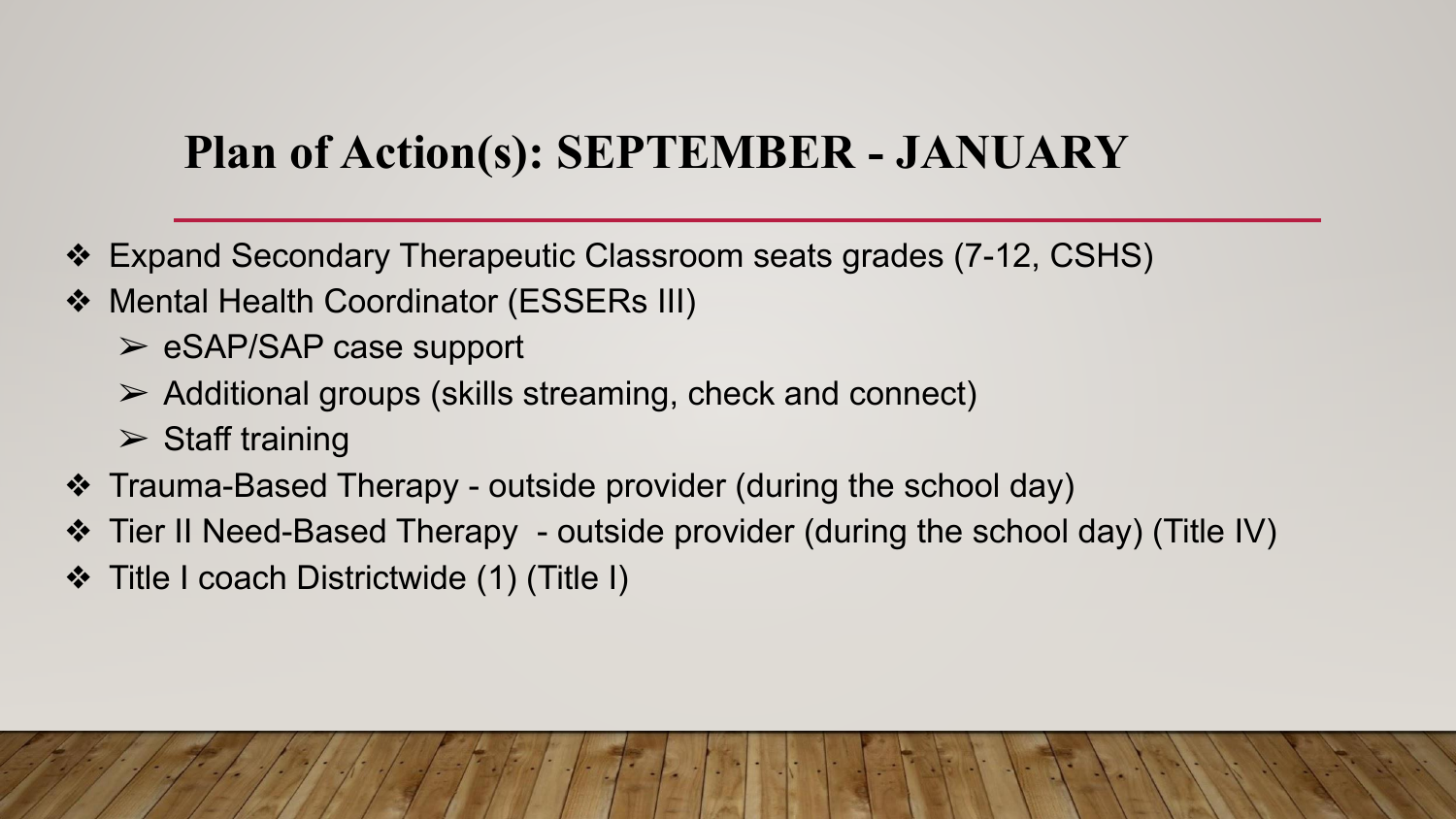# **Plan of Action(s): SEPTEMBER - JANUARY**

- ❖ Expand Secondary Therapeutic Classroom seats grades (7-12, CSHS)
- ❖ Mental Health Coordinator (ESSERs III)
	- $\triangleright$  eSAP/SAP case support
	- $\triangleright$  Additional groups (skills streaming, check and connect)
	- $\triangleright$  Staff training
- ❖ Trauma-Based Therapy outside provider (during the school day)
- ❖ Tier II Need-Based Therapy outside provider (during the school day) (Title IV)
- ❖ Title I coach Districtwide (1) (Title I)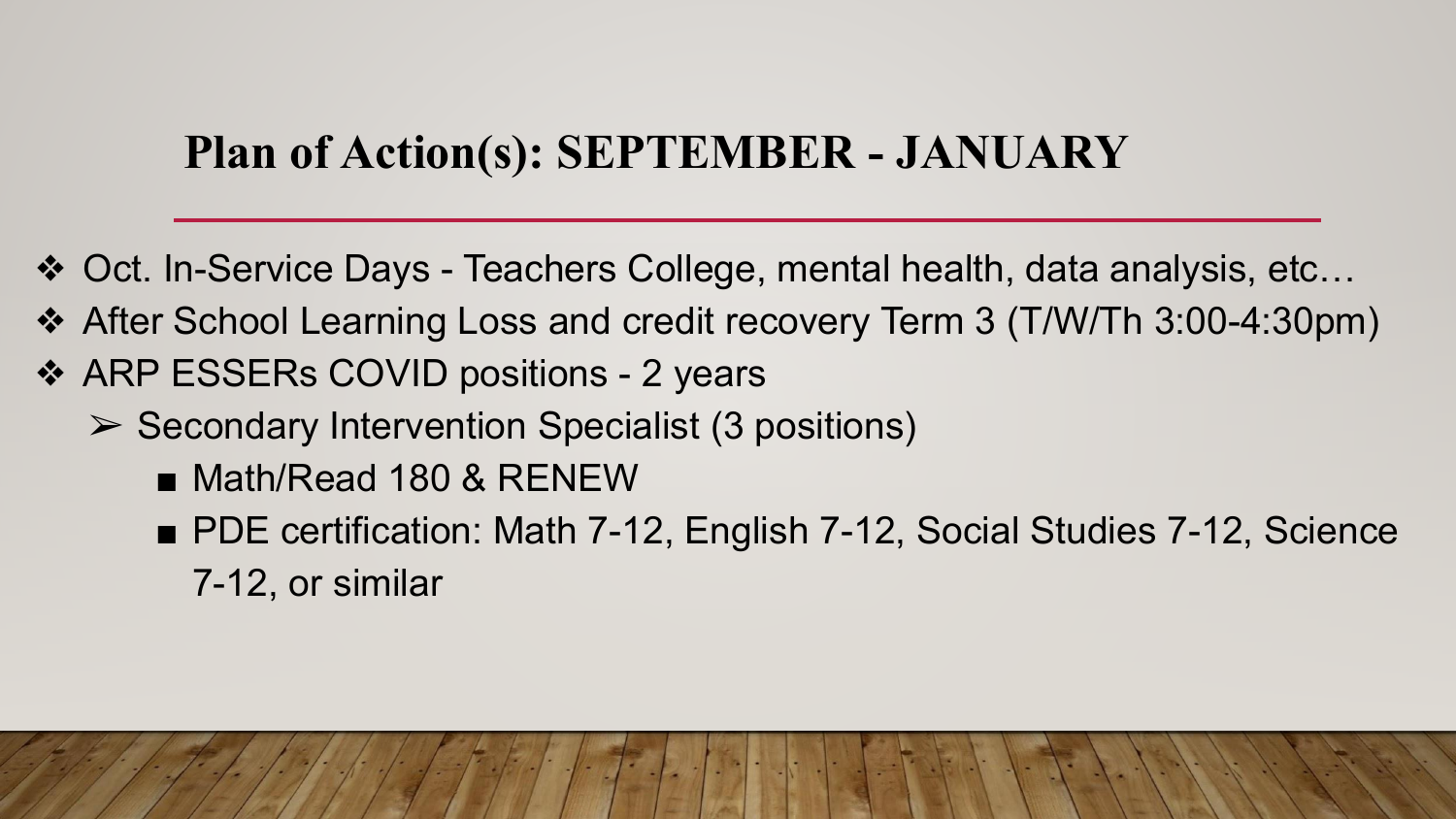# **Plan of Action(s): SEPTEMBER - JANUARY**

- ❖ Oct. In-Service Days Teachers College, mental health, data analysis, etc…
- ❖ After School Learning Loss and credit recovery Term 3 (T/W/Th 3:00-4:30pm)
- ❖ ARP ESSERs COVID positions 2 years
	- ➢ Secondary Intervention Specialist (3 positions)
		- Math/Read 180 & RENEW
		- PDE certification: Math 7-12, English 7-12, Social Studies 7-12, Science 7-12, or similar